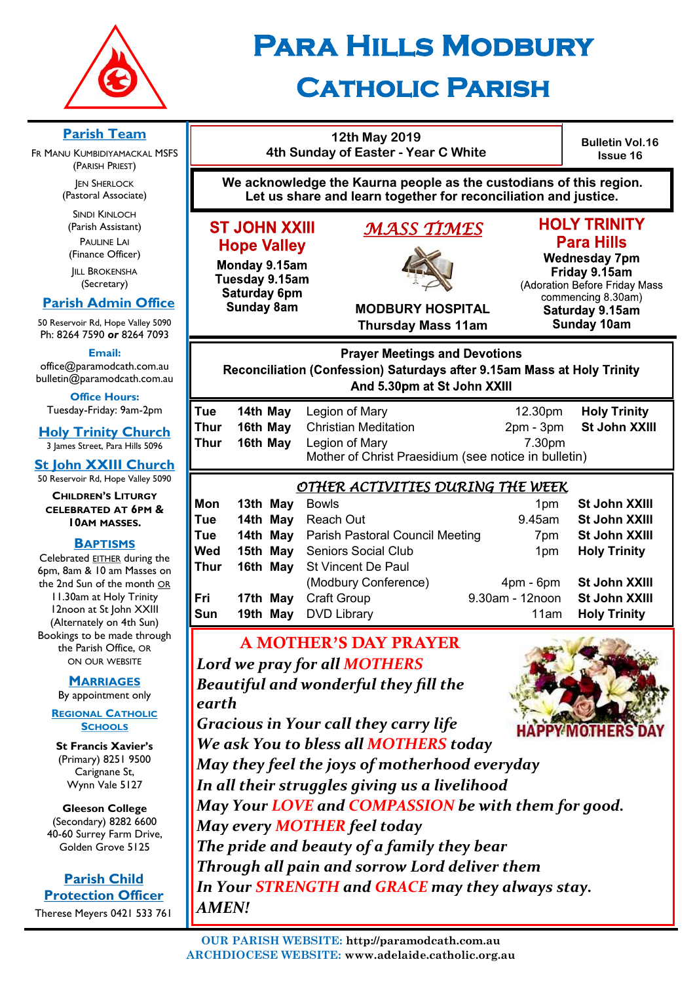

ON OUR WEBSITE **MARRIAGES** By appointment only **REGIONAL CATHOLIC SCHOOLS St Francis Xavier's**  (Primary) 8251 9500 Carignane St, Wynn Vale 5127

**Gleeson College**  (Secondary) 8282 6600 40-60 Surrey Farm Drive, Golden Grove 5125

**Parish Child Protection Officer** Therese Meyers 0421 533 761

# **Para Hills Modbury**

## **Catholic Parish**

#### **Parish Team 12th May 2019 Bulletin Vol.16 4th Sunday of Easter - Year C White** FR MANU KUMBIDIYAMACKAL MSFS **Issue 16** (PARISH PRIEST) **We acknowledge the Kaurna people as the custodians of this region. JEN SHERLOCK** (Pastoral Associate) **Let us share and learn together for reconciliation and justice.** SINDI KINLOCH **HOLY TRINITY** (Parish Assistant) **ST JOHN XXIII** *MASS TIMES*  PAULINE LAI **Para Hills Hope Valley** (Finance Officer) **Wednesday 7pm** Monday 9.15am **IILL BROKENSHA** Friday 9.15am Tuesday 9.15am (Secretary) (Adoration Before Friday Mass Saturday 6pm commencing 8.30am)  **Parish Admin Office Sunday 8am MODBURY HOSPITAL** Saturday 9.15am 50 Reservoir Rd, Hope Valley 5090 **Thursday Mass 11am Sunday 10am** Ph: 8264 7590 *or* 8264 7093 **Email: Prayer Meetings and Devotions** office@paramodcath.com.au Reconciliation (Confession) Saturdays after 9.15am Mass at Holy Trinity bulletin@paramodcath.com.au And 5.30pm at St John XXIII **Office Hours:**  Tuesday-Friday: 9am-2pm **Tue 14th May** Legion of Mary 12.30pm **Holy Trinity Thur 16th May** Christian Meditation 2pm - 3pm **St John XXIII Holy Trinity Church Thur 16th May** Legion of Mary 7.30pm 3 James Street, Para Hills 5096 Mother of Christ Praesidium (see notice in bulletin) **St John XXIII Church** 50 Reservoir Rd, Hope Valley 5090 *OTHER ACTIVITIES DURING THE WEEK*  **CHILDREN'S LITURGY Mon 13th May** Bowls **1pm St John XXIII CELEBRATED AT 6PM & Tue 14th May** Reach Out 9.45am **St John XXIII 10AM MASSES. Tue 14th May** Parish Pastoral Council Meeting 7pm **St John XXIII BAPTISMS Wed 15th May** Seniors Social Club 1pm **Holy Trinity** Celebrated EITHER during the **Thur 16th May** St Vincent De Paul 6pm, 8am & 10 am Masses on (Modbury Conference) 4pm - 6pm **St John XXIII** the 2nd Sun of the month OR 11.30am at Holy Trinity **Fri 17th May** Craft Group 9.30am - 12noon **St John XXIII** 12noon at St John XXIII **Sun 19th May** DVD Library 11am **Holy Trinity** (Alternately on 4th Sun) Bookings to be made through A MOTHER'S DAY PRAYER the Parish Office, OR

*Lord we pray for all MOTHERS Beautiful and wonderful they fill the earth*

*Gracious in Your call they carry life* **HAPPY MOTHER** *We ask You to bless all MOTHERS today May they feel the joys of motherhood everyday In all their struggles giving us a livelihood May Your LOVE and COMPASSION be with them for good. May every MOTHER feel today The pride and beauty of a family they bear Through all pain and sorrow Lord deliver them In Your STRENGTH and GRACE may they always stay. AMEN!*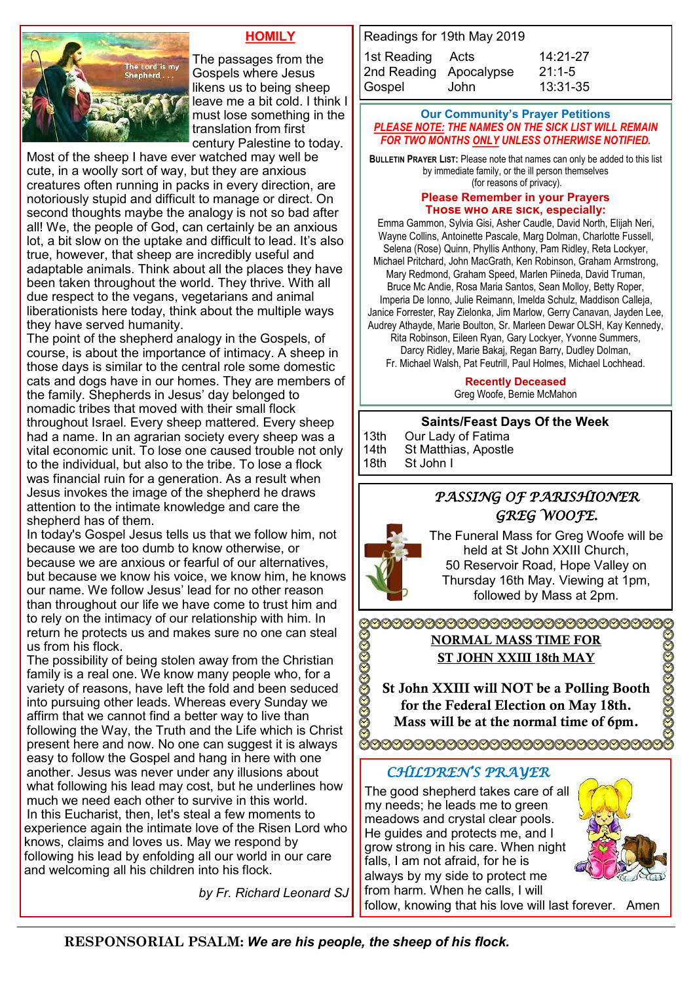

#### **HOMILY**

The passages from the Gospels where Jesus likens us to being sheep leave me a bit cold. I think I must lose something in the translation from first century Palestine to today.

Most of the sheep I have ever watched may well be cute, in a woolly sort of way, but they are anxious creatures often running in packs in every direction, are notoriously stupid and difficult to manage or direct. On second thoughts maybe the analogy is not so bad after all! We, the people of God, can certainly be an anxious lot, a bit slow on the uptake and difficult to lead. It's also true, however, that sheep are incredibly useful and adaptable animals. Think about all the places they have been taken throughout the world. They thrive. With all due respect to the vegans, vegetarians and animal liberationists here today, think about the multiple ways they have served humanity.

The point of the shepherd analogy in the Gospels, of course, is about the importance of intimacy. A sheep in those days is similar to the central role some domestic cats and dogs have in our homes. They are members of the family. Shepherds in Jesus' day belonged to nomadic tribes that moved with their small flock throughout Israel. Every sheep mattered. Every sheep had a name. In an agrarian society every sheep was a vital economic unit. To lose one caused trouble not only to the individual, but also to the tribe. To lose a flock was financial ruin for a generation. As a result when Jesus invokes the image of the shepherd he draws attention to the intimate knowledge and care the shepherd has of them.

In today's Gospel Jesus tells us that we follow him, not because we are too dumb to know otherwise, or because we are anxious or fearful of our alternatives, but because we know his voice, we know him, he knows our name. We follow Jesus' lead for no other reason than throughout our life we have come to trust him and to rely on the intimacy of our relationship with him. In return he protects us and makes sure no one can steal us from his flock.

The possibility of being stolen away from the Christian family is a real one. We know many people who, for a variety of reasons, have left the fold and been seduced into pursuing other leads. Whereas every Sunday we affirm that we cannot find a better way to live than following the Way, the Truth and the Life which is Christ present here and now. No one can suggest it is always easy to follow the Gospel and hang in here with one another. Jesus was never under any illusions about what following his lead may cost, but he underlines how much we need each other to survive in this world. In this Eucharist, then, let's steal a few moments to experience again the intimate love of the Risen Lord who knows, claims and loves us. May we respond by following his lead by enfolding all our world in our care and welcoming all his children into his flock.

*by Fr. Richard Leonard SJ*

| Readings for 19th May 2019 |      |            |
|----------------------------|------|------------|
| 1st Reading Acts           |      | 14:21-27   |
| 2nd Reading Apocalypse     |      | $21:1 - 5$ |
| Gospel                     | John | 13:31-35   |

#### **Our Community's Prayer Petitions**  *PLEASE NOTE: THE NAMES ON THE SICK LIST WILL REMAIN FOR TWO MONTHS ONLY UNLESS OTHERWISE NOTIFIED.*

**BULLETIN PRAYER LIST:** Please note that names can only be added to this list by immediate family, or the ill person themselves (for reasons of privacy).

#### **Please Remember in your Prayers Those who are sick, especially:**

Emma Gammon, Sylvia Gisi, Asher Caudle, David North, Elijah Neri, Wayne Collins, Antoinette Pascale, Marg Dolman, Charlotte Fussell, Selena (Rose) Quinn, Phyllis Anthony, Pam Ridley, Reta Lockyer, Michael Pritchard, John MacGrath, Ken Robinson, Graham Armstrong, Mary Redmond, Graham Speed, Marlen Piineda, David Truman, Bruce Mc Andie, Rosa Maria Santos, Sean Molloy, Betty Roper, Imperia De Ionno, Julie Reimann, Imelda Schulz, Maddison Calleja, Janice Forrester, Ray Zielonka, Jim Marlow, Gerry Canavan, Jayden Lee, Audrey Athayde, Marie Boulton, Sr. Marleen Dewar OLSH, Kay Kennedy, Rita Robinson, Eileen Ryan, Gary Lockyer, Yvonne Summers,

Darcy Ridley, Marie Bakaj, Regan Barry, Dudley Dolman, Fr. Michael Walsh, Pat Feutrill, Paul Holmes, Michael Lochhead.

**Recently Deceased**

Greg Woofe, Bernie McMahon

#### **Saints/Feast Days Of the Week**

13th Our Lady of Fatima<br>14th St Matthias, Apostle St Matthias, Apostle

18th St John I

## *PASSING OF PARISHIONER GREG WOOFE.*

The Funeral Mass for Greg Woofe will be held at St John XXIII Church. 50 Reservoir Road, Hope Valley on Thursday 16th May. Viewing at 1pm, followed by Mass at 2pm.

NORMAL MASS TIME FOR ST JOHN XXIII 18th MAY

St John XXIII will NOT be a Polling Booth for the Federal Election on May 18th. Mass will be at the normal time of 6pm.

### *CHILDREN'S PRAYER*

The good shepherd takes care of all my needs; he leads me to green meadows and crystal clear pools. He guides and protects me, and I grow strong in his care. When night falls, I am not afraid, for he is always by my side to protect me from harm. When he calls, I will



follow, knowing that his love will last forever. Amen

**RESPONSORIAL PSALM:** *We are his people, the sheep of his flock.*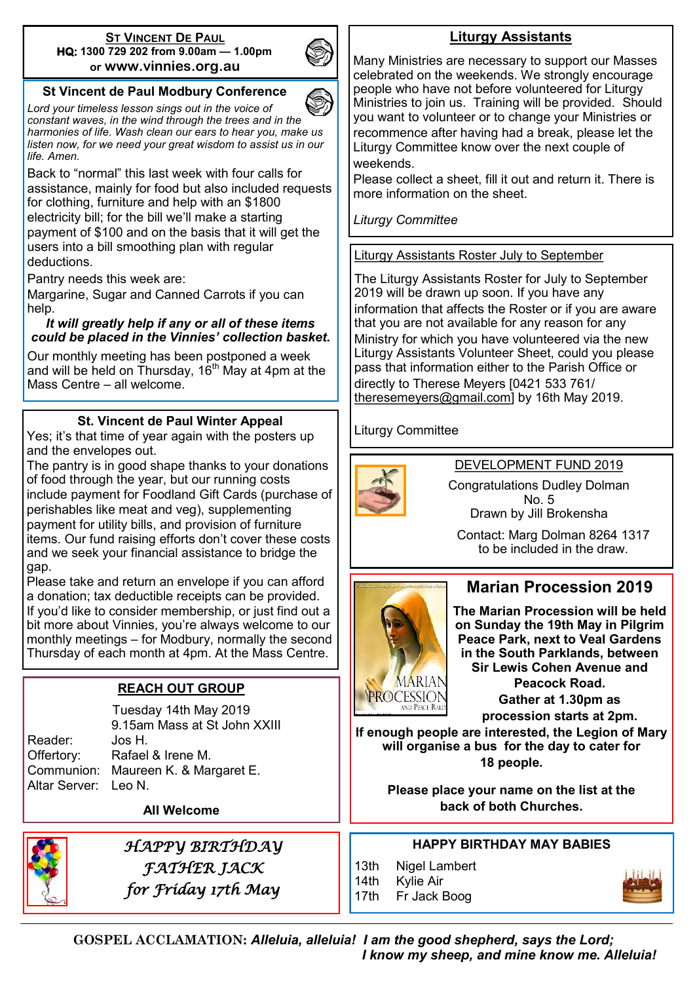#### **ST VINCENT DE PAUL HQ: 1300 729 202 from 9.00am — 1.00pm or www.vinnies.org.au**



#### **St Vincent de Paul Modbury Conference**

*Lord your timeless lesson sings out in the voice of constant waves, in the wind through the trees and in the harmonies of life. Wash clean our ears to hear you, make us listen now, for we need your great wisdom to assist us in our life. Amen.*

Back to "normal" this last week with four calls for assistance, mainly for food but also included requests for clothing, furniture and help with an \$1800 electricity bill; for the bill we'll make a starting payment of \$100 and on the basis that it will get the users into a bill smoothing plan with regular deductions.

Pantry needs this week are:

Margarine, Sugar and Canned Carrots if you can help.

*It will greatly help if any or all of these items could be placed in the Vinnies' collection basket.*

Our monthly meeting has been postponed a week and will be held on Thursday,  $16<sup>th</sup>$  May at 4pm at the Mass Centre – all welcome.

#### **St. Vincent de Paul Winter Appeal**

Yes; it's that time of year again with the posters up and the envelopes out.

The pantry is in good shape thanks to your donations of food through the year, but our running costs include payment for Foodland Gift Cards (purchase of perishables like meat and veg), supplementing payment for utility bills, and provision of furniture items. Our fund raising efforts don't cover these costs and we seek your financial assistance to bridge the gap.

Please take and return an envelope if you can afford a donation; tax deductible receipts can be provided. If you'd like to consider membership, or just find out a bit more about Vinnies, you're always welcome to our monthly meetings – for Modbury, normally the second Thursday of each month at 4pm. At the Mass Centre.

#### **REACH OUT GROUP**

Tuesday 14th May 2019 9.15am Mass at St John XXIII Reader: Jos H. Rafael & Irene M. Maureen K. & Margaret E. Leo N.

**All Welcome**



*HAPPY BIRTHDAY FATHER JACK for Friday 17th May* 

### **Liturgy Assistants**

Many Ministries are necessary to support our Masses celebrated on the weekends. We strongly encourage people who have not before volunteered for Liturgy Ministries to join us. Training will be provided. Should you want to volunteer or to change your Ministries or recommence after having had a break, please let the Liturgy Committee know over the next couple of weekends.

Please collect a sheet, fill it out and return it. There is more information on the sheet.

*Liturgy Committee*

Liturgy Assistants Roster July to September

The Liturgy Assistants Roster for July to September 2019 will be drawn up soon. If you have any information that affects the Roster or if you are aware that you are not available for any reason for any Ministry for which you have volunteered via the new Liturgy Assistants Volunteer Sheet, could you please pass that information either to the Parish Office or directly to Therese Meyers [0421 533 761/ [theresemeyers@gmail.com\]](mailto:theresemeyers@gmail.com) by 16th May 2019.

Liturgy Committee



DEVELOPMENT FUND 2019

Congratulations Dudley Dolman No. 5 Drawn by Jill Brokensha

Contact: Marg Dolman 8264 1317 to be included in the draw.



## **Marian Procession 2019**

**The Marian Procession will be held on Sunday the 19th May in Pilgrim Peace Park, next to Veal Gardens in the South Parklands, between Sir Lewis Cohen Avenue and** 

> **Peacock Road. Gather at 1.30pm as procession starts at 2pm.**

**If enough people are interested, the Legion of Mary will organise a bus for the day to cater for 18 people.**

> **Please place your name on the list at the back of both Churches.**

#### **HAPPY BIRTHDAY MAY BABIES**

13th Nigel Lambert

14th Kylie Air

17th Fr Jack Boog



**GOSPEL ACCLAMATION:** *Alleluia, alleluia! I am the good shepherd, says the Lord; I know my sheep, and mine know me. Alleluia!*